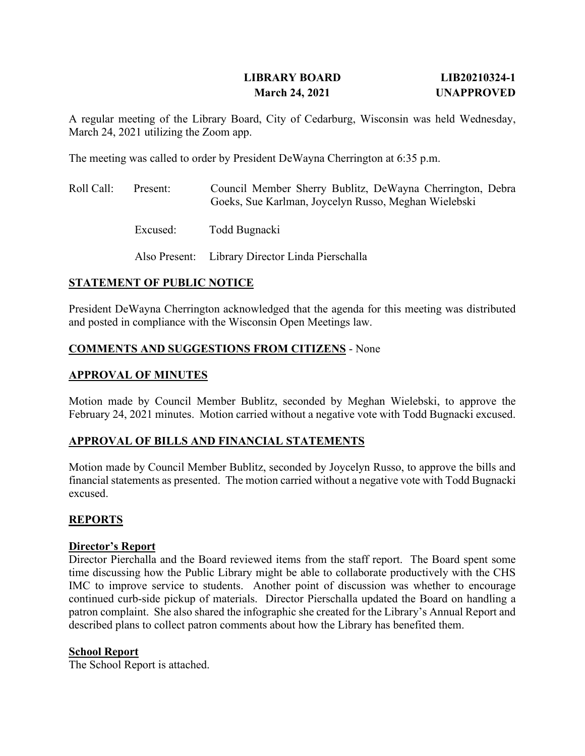## **LIBRARY BOARD LIB20210324-1 March 24, 2021 UNAPPROVED**

A regular meeting of the Library Board, City of Cedarburg, Wisconsin was held Wednesday, March 24, 2021 utilizing the Zoom app.

The meeting was called to order by President DeWayna Cherrington at 6:35 p.m.

| Roll Call: | Present: | Council Member Sherry Bublitz, DeWayna Cherrington, Debra<br>Goeks, Sue Karlman, Joycelyn Russo, Meghan Wielebski |
|------------|----------|-------------------------------------------------------------------------------------------------------------------|
|            | Excused: | Todd Bugnacki                                                                                                     |
|            |          | Also Present: Library Director Linda Pierschalla                                                                  |

## **STATEMENT OF PUBLIC NOTICE**

President DeWayna Cherrington acknowledged that the agenda for this meeting was distributed and posted in compliance with the Wisconsin Open Meetings law.

## **COMMENTS AND SUGGESTIONS FROM CITIZENS** - None

## **APPROVAL OF MINUTES**

Motion made by Council Member Bublitz, seconded by Meghan Wielebski, to approve the February 24, 2021 minutes. Motion carried without a negative vote with Todd Bugnacki excused.

## **APPROVAL OF BILLS AND FINANCIAL STATEMENTS**

Motion made by Council Member Bublitz, seconded by Joycelyn Russo, to approve the bills and financial statements as presented. The motion carried without a negative vote with Todd Bugnacki excused.

## **REPORTS**

#### **Director's Report**

Director Pierchalla and the Board reviewed items from the staff report. The Board spent some time discussing how the Public Library might be able to collaborate productively with the CHS IMC to improve service to students. Another point of discussion was whether to encourage continued curb-side pickup of materials. Director Pierschalla updated the Board on handling a patron complaint. She also shared the infographic she created for the Library's Annual Report and described plans to collect patron comments about how the Library has benefited them.

#### **School Report**

The School Report is attached.